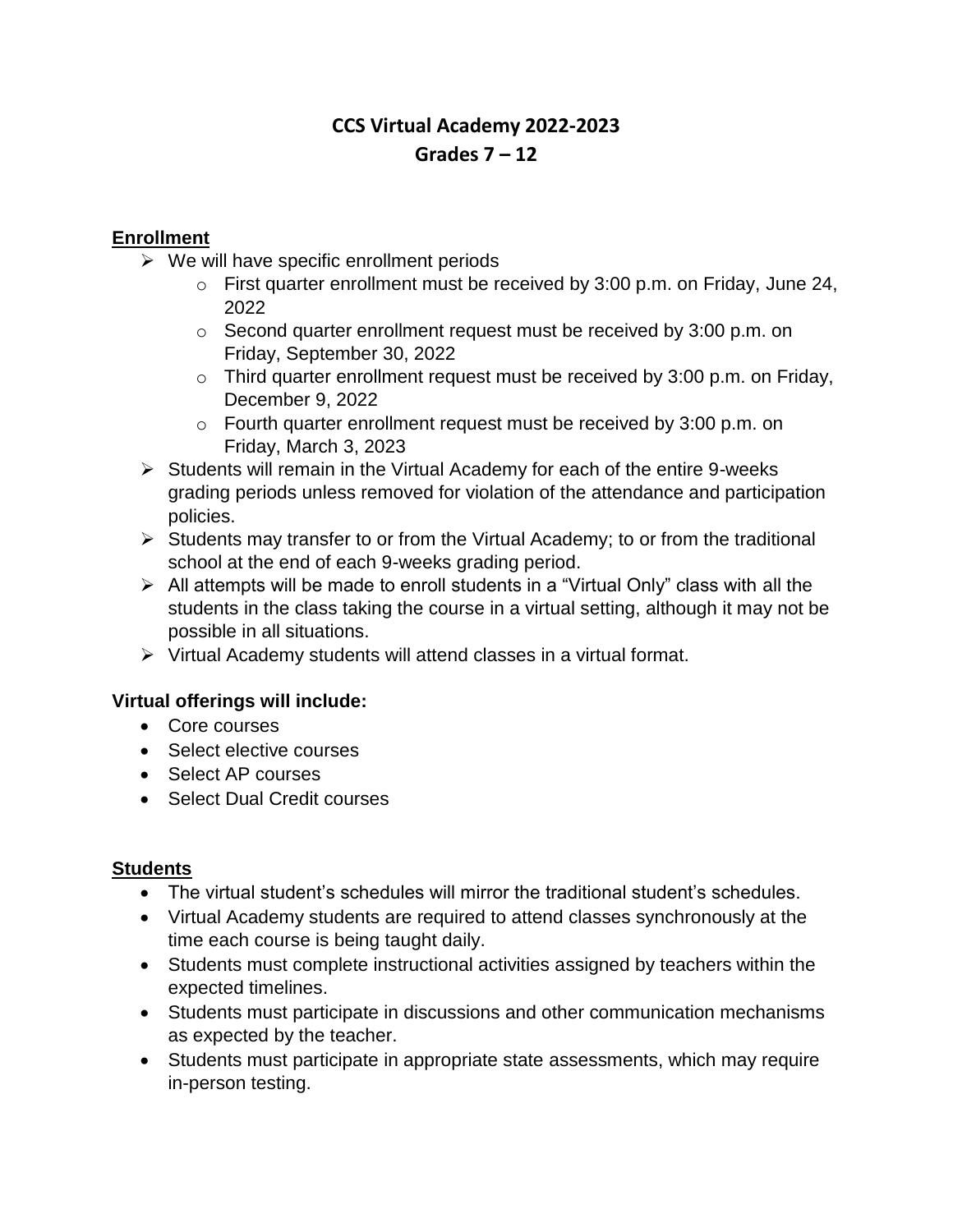# **CCS Virtual Academy 2022-2023 Grades 7 – 12**

## **Enrollment**

- $\triangleright$  We will have specific enrollment periods
	- o First quarter enrollment must be received by 3:00 p.m. on Friday, June 24, 2022
	- o Second quarter enrollment request must be received by 3:00 p.m. on Friday, September 30, 2022
	- $\circ$  Third quarter enrollment request must be received by 3:00 p.m. on Friday, December 9, 2022
	- o Fourth quarter enrollment request must be received by 3:00 p.m. on Friday, March 3, 2023
- ➢ Students will remain in the Virtual Academy for each of the entire 9-weeks grading periods unless removed for violation of the attendance and participation policies.
- ➢ Students may transfer to or from the Virtual Academy; to or from the traditional school at the end of each 9-weeks grading period.
- ➢ All attempts will be made to enroll students in a "Virtual Only" class with all the students in the class taking the course in a virtual setting, although it may not be possible in all situations.
- ➢ Virtual Academy students will attend classes in a virtual format.

#### **Virtual offerings will include:**

- Core courses
- Select elective courses
- Select AP courses
- Select Dual Credit courses

#### **Students**

- The virtual student's schedules will mirror the traditional student's schedules.
- Virtual Academy students are required to attend classes synchronously at the time each course is being taught daily.
- Students must complete instructional activities assigned by teachers within the expected timelines.
- Students must participate in discussions and other communication mechanisms as expected by the teacher.
- Students must participate in appropriate state assessments, which may require in-person testing.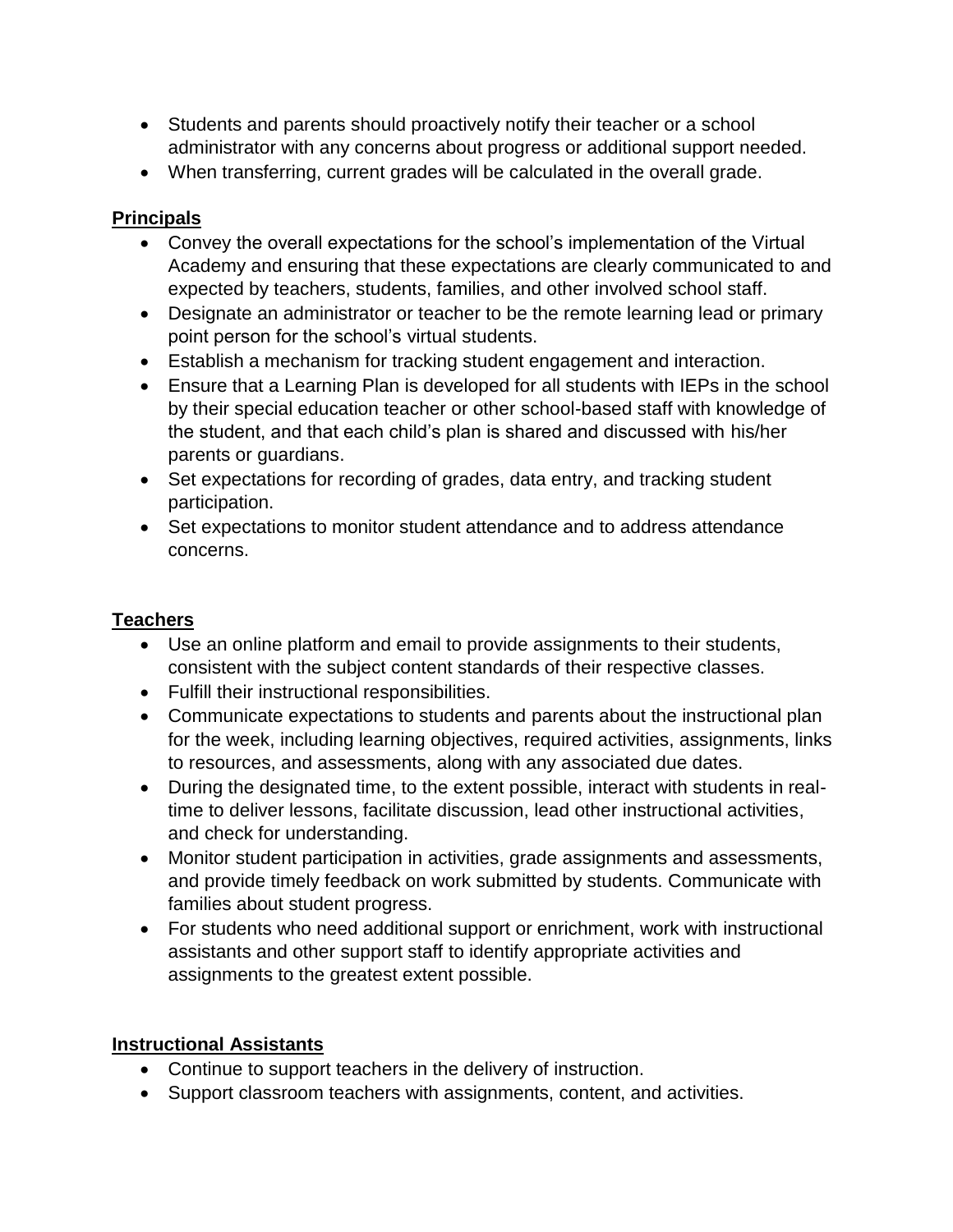- Students and parents should proactively notify their teacher or a school administrator with any concerns about progress or additional support needed.
- When transferring, current grades will be calculated in the overall grade.

## **Principals**

- Convey the overall expectations for the school's implementation of the Virtual Academy and ensuring that these expectations are clearly communicated to and expected by teachers, students, families, and other involved school staff.
- Designate an administrator or teacher to be the remote learning lead or primary point person for the school's virtual students.
- Establish a mechanism for tracking student engagement and interaction.
- Ensure that a Learning Plan is developed for all students with IEPs in the school by their special education teacher or other school-based staff with knowledge of the student, and that each child's plan is shared and discussed with his/her parents or guardians.
- Set expectations for recording of grades, data entry, and tracking student participation.
- Set expectations to monitor student attendance and to address attendance concerns.

## **Teachers**

- Use an online platform and email to provide assignments to their students, consistent with the subject content standards of their respective classes.
- Fulfill their instructional responsibilities.
- Communicate expectations to students and parents about the instructional plan for the week, including learning objectives, required activities, assignments, links to resources, and assessments, along with any associated due dates.
- During the designated time, to the extent possible, interact with students in realtime to deliver lessons, facilitate discussion, lead other instructional activities, and check for understanding.
- Monitor student participation in activities, grade assignments and assessments, and provide timely feedback on work submitted by students. Communicate with families about student progress.
- For students who need additional support or enrichment, work with instructional assistants and other support staff to identify appropriate activities and assignments to the greatest extent possible.

## **Instructional Assistants**

- Continue to support teachers in the delivery of instruction.
- Support classroom teachers with assignments, content, and activities.